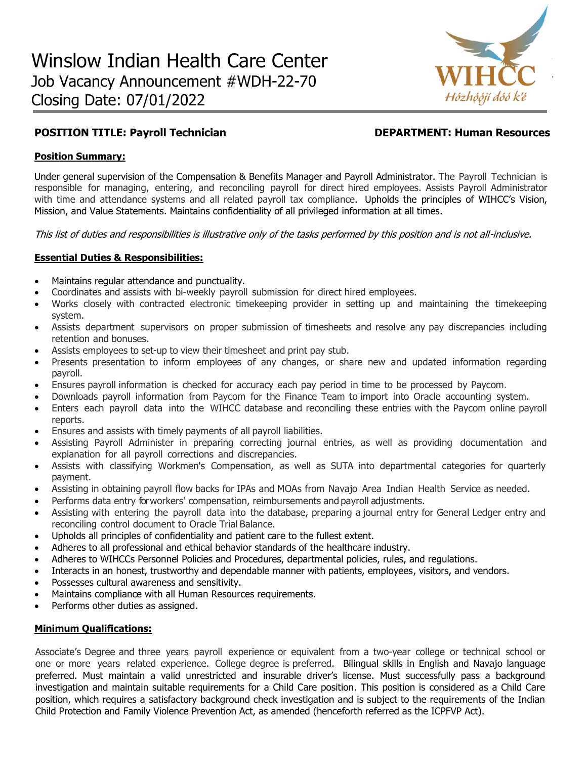

# **POSITION TITLE: Payroll Technician DEPARTMENT: Human Resources**

### **Position Summary:**

Under general supervision of the Compensation & Benefits Manager and Payroll Administrator. The Payroll Technician is responsible for managing, entering, and reconciling payroll for direct hired employees. Assists Payroll Administrator with time and attendance systems and all related payroll tax compliance. Upholds the principles of WIHCC's Vision, Mission, and Value Statements. Maintains confidentiality of all privileged information at all times.

This list of duties and responsibilities is illustrative only of the tasks performed by this position and is not all-inclusive.

#### **Essential Duties & Responsibilities:**

- Maintains regular attendance and punctuality.
- Coordinates and assists with bi-weekly payroll submission for direct hired employees.
- Works closely with contracted electronic timekeeping provider in setting up and maintaining the timekeeping system.
- Assists department supervisors on proper submission of timesheets and resolve any pay discrepancies including retention and bonuses.
- Assists employees to set-up to view their timesheet and print pay stub.
- Presents presentation to inform employees of any changes, or share new and updated information regarding payroll.
- Ensures payroll information is checked for accuracy each pay period in time to be processed by Paycom.
- Downloads payroll information from Paycom for the Finance Team to import into Oracle accounting system.
- Enters each payroll data into the WIHCC database and reconciling these entries with the Paycom online payroll reports.
- Ensures and assists with timely payments of all payroll liabilities.
- Assisting Payroll Administer in preparing correcting journal entries, as well as providing documentation and explanation for all payroll corrections and discrepancies.
- Assists with classifying Workmen's Compensation, as well as SUTA into departmental categories for quarterly payment.
- Assisting in obtaining payroll flow backs for IPAs and MOAs from Navajo Area Indian Health Service as needed.
- Performs data entry forworkers' compensation, reimbursements and payroll adjustments.
- Assisting with entering the payroll data into the database, preparing a journal entry for General Ledger entry and reconciling control document to Oracle Trial Balance.
- Upholds all principles of confidentiality and patient care to the fullest extent.
- Adheres to all professional and ethical behavior standards of the healthcare industry.
- Adheres to WIHCCs Personnel Policies and Procedures, departmental policies, rules, and regulations.
- Interacts in an honest, trustworthy and dependable manner with patients, employees, visitors, and vendors.
- Possesses cultural awareness and sensitivity.
- Maintains compliance with all Human Resources requirements.
- Performs other duties as assigned.

#### **Minimum Qualifications:**

Associate's Degree and three years payroll experience or equivalent from a two-year college or technical school or one or more years related experience. College degree is preferred. Bilingual skills in English and Navajo language preferred. Must maintain a valid unrestricted and insurable driver's license. Must successfully pass a background investigation and maintain suitable requirements for a Child Care position. This position is considered as a Child Care position, which requires a satisfactory background check investigation and is subject to the requirements of the Indian Child Protection and Family Violence Prevention Act, as amended (henceforth referred as the ICPFVP Act).